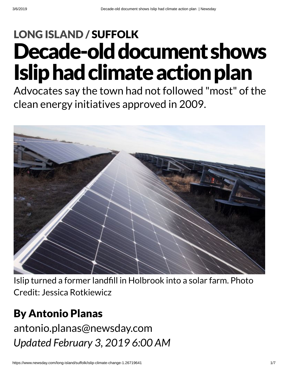# Decade-old document shows **Islip had climate action plan** LONG [ISLAND](https://www.newsday.com/long-island) / [SUFFOLK](https://www.newsday.com/long-island/suffolk)

Advocates say the town had not followed "most" of the clean energy initiatives approved in 2009.



Islip turned a former landfill in Holbrook into a solar farm. Photo Credit: Jessica Rotkiewicz

### By Antonio Planas

*Updated February 3, 2019 6:00 AM* [antonio.planas@newsday.com](mailto:antonio.planas@newsday.com?subject=Decade-old%20document%20shows%20Islip%C2%A0had%20climate%20action%20plan%C2%A0&body=Advocates%20say%20the%20town%20had%20not%20followed%20%22most%22%20of%20the%20clean%20energy%20initiatives%20approved%20in%202009.%0D%0Ahttps://www.newsday.com/long-island/suffolk/islip-climate-change-1.26719641)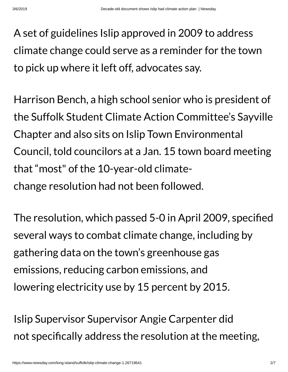A set of guidelines Islip approved in 2009 to address climate change could serve as a reminder for the town to pick up where it left off, advocates say.

Harrison Bench, a high school senior who is president of the Suffolk Student Climate Action Committee's Sayville Chapter and also sits on Islip Town Environmental Council, told councilors at a Jan. 15 town board meeting that "most" of the 10-year-old climatechange resolution had not been followed.

The resolution, which passed 5-0 in April 2009, specified several ways to combat climate change, including by gathering data on the town's greenhouse gas emissions, reducing carbon emissions, and lowering electricity use by 15 percent by 2015.

Islip Supervisor Supervisor Angie Carpenter did not specifically address the resolution at the meeting,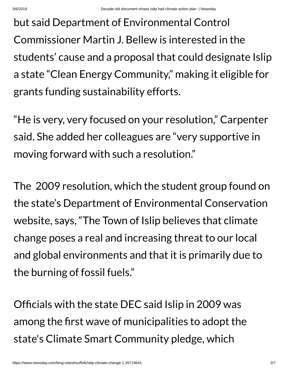but said Department of Environmental Control Commissioner Martin J. Bellew is interested in the students' cause and a proposal that could designate Islip a state "Clean Energy Community, " making it eligible for grants funding sustainability efforts.

"He is very, very focused on your resolution, " Carpenter said. She added her colleagues are "very supportive in moving forward with such a resolution."

The 2009 resolution, which the student group found on the state's Department of Environmental Conservation website, says, "The Town of Islip believes that climate change poses a real and increasing threat to our local and global environments and that it is primarily due to the burning of fossil fuels."

Officials with the state DEC said Islip in 2009 was among the first wave of municipalities to adopt the state's Climate Smart Community pledge, which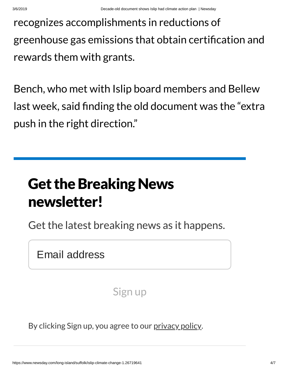recognizes accomplishments in reductions of greenhouse gas emissions that obtain certification and rewards them with grants.

Bench, who met with Islip board members and Bellew last week, said finding the old document was the "extra" push in the right direction."

## **Get the Breaking News** newsletter!

Get the latest breaking news as it happens.

Email address

Sign up

By clicking Sign up, you agree to our [privacy](https://www.newsday.com/privacy) policy.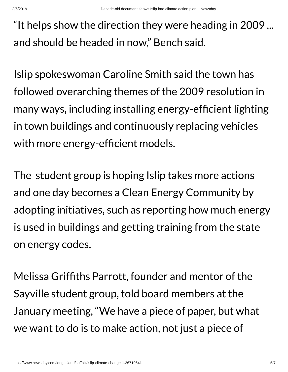"It helps show the direction they were heading in 2009 ... and should be headed in now, " Bench said.

Islip spokeswoman Caroline Smith said the town has followed overarching themes of the 2009 resolution in many ways, including installing energy-efficient lighting in town buildings and continuously replacing vehicles with more energy-efficient models.

The student group is hoping Islip takes more actions and one day becomes a Clean Energy Community by adopting initiatives, such as reporting how much energy is used in buildings and getting training from the state on energy codes.

Melissa Grifths Parrott, founder and mentor of the Sayville student group, told board members at the January meeting, "We have a piece of paper, but what we want to do is to make action, not just a piece of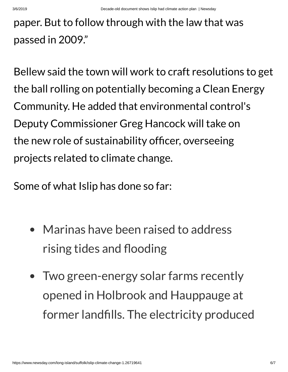### paper. But to follow through with the law that was passed in 2009."

Bellew said the town will work to craft resolutions to get the ball rolling on potentially becoming a Clean Energy Community. He added that environmental control's Deputy Commissioner Greg Hancock will take on the new role of sustainability officer, overseeing projects related to climate change.

Some of what Islip has done so far:

- Marinas have been raised to address rising tides and flooding
- Two green-energy solar farms recently opened in Holbrook and Hauppauge at former landfills. The electricity produced